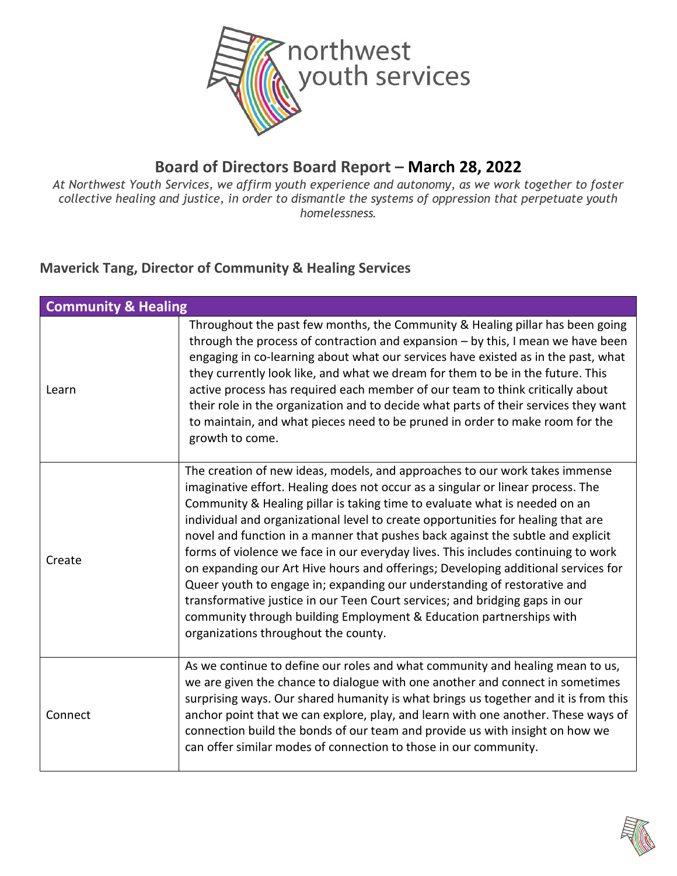

#### **Board of Directors Board Report – March 28, 2022**

*At Northwest Youth Services, we affirm youth experience and autonomy, as we work together to foster collective healing and justice, in order to dismantle the systems of oppression that perpetuate youth homelessness.*

#### **Maverick Tang, Director of Community & Healing Services**

| <b>Community &amp; Healing</b> |                                                                                                                                                                                                                                                                                                                                                                                                                                                                                                                                                                                                                                                                                                                                                                                                                                                                         |
|--------------------------------|-------------------------------------------------------------------------------------------------------------------------------------------------------------------------------------------------------------------------------------------------------------------------------------------------------------------------------------------------------------------------------------------------------------------------------------------------------------------------------------------------------------------------------------------------------------------------------------------------------------------------------------------------------------------------------------------------------------------------------------------------------------------------------------------------------------------------------------------------------------------------|
| Learn                          | Throughout the past few months, the Community & Healing pillar has been going<br>through the process of contraction and expansion - by this, I mean we have been<br>engaging in co-learning about what our services have existed as in the past, what<br>they currently look like, and what we dream for them to be in the future. This<br>active process has required each member of our team to think critically about<br>their role in the organization and to decide what parts of their services they want<br>to maintain, and what pieces need to be pruned in order to make room for the<br>growth to come.                                                                                                                                                                                                                                                      |
| Create                         | The creation of new ideas, models, and approaches to our work takes immense<br>imaginative effort. Healing does not occur as a singular or linear process. The<br>Community & Healing pillar is taking time to evaluate what is needed on an<br>individual and organizational level to create opportunities for healing that are<br>novel and function in a manner that pushes back against the subtle and explicit<br>forms of violence we face in our everyday lives. This includes continuing to work<br>on expanding our Art Hive hours and offerings; Developing additional services for<br>Queer youth to engage in; expanding our understanding of restorative and<br>transformative justice in our Teen Court services; and bridging gaps in our<br>community through building Employment & Education partnerships with<br>organizations throughout the county. |
| Connect                        | As we continue to define our roles and what community and healing mean to us,<br>we are given the chance to dialogue with one another and connect in sometimes<br>surprising ways. Our shared humanity is what brings us together and it is from this<br>anchor point that we can explore, play, and learn with one another. These ways of<br>connection build the bonds of our team and provide us with insight on how we<br>can offer similar modes of connection to those in our community.                                                                                                                                                                                                                                                                                                                                                                          |

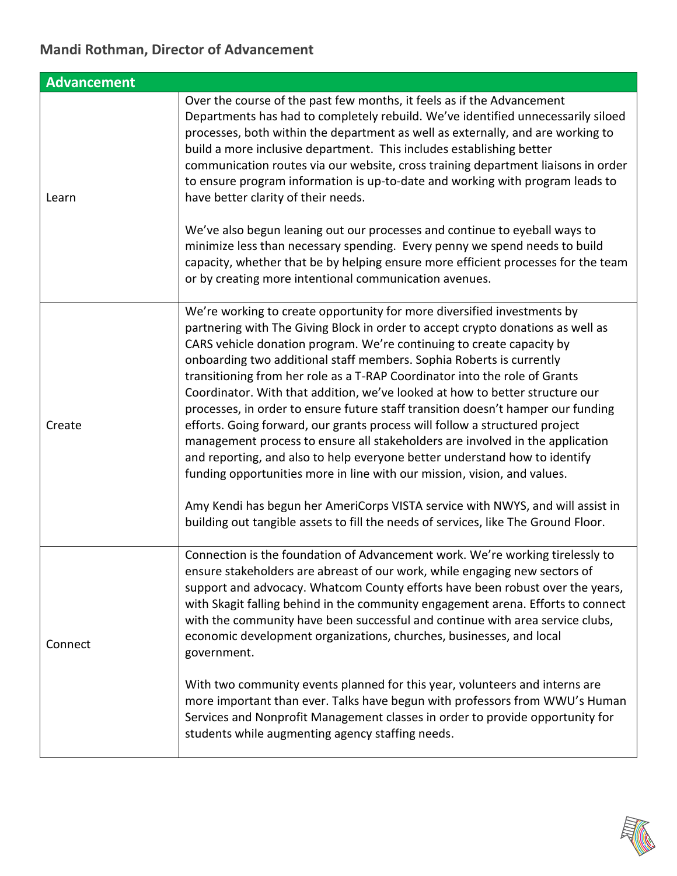#### **Mandi Rothman, Director of Advancement**

| <b>Advancement</b> |                                                                                                                                                                                                                                                                                                                                                                                                                                                                                                                                                                                                                                                                                                                                                                                                                                                                                                                                                                                                                                                                 |
|--------------------|-----------------------------------------------------------------------------------------------------------------------------------------------------------------------------------------------------------------------------------------------------------------------------------------------------------------------------------------------------------------------------------------------------------------------------------------------------------------------------------------------------------------------------------------------------------------------------------------------------------------------------------------------------------------------------------------------------------------------------------------------------------------------------------------------------------------------------------------------------------------------------------------------------------------------------------------------------------------------------------------------------------------------------------------------------------------|
| Learn              | Over the course of the past few months, it feels as if the Advancement<br>Departments has had to completely rebuild. We've identified unnecessarily siloed<br>processes, both within the department as well as externally, and are working to<br>build a more inclusive department. This includes establishing better<br>communication routes via our website, cross training department liaisons in order<br>to ensure program information is up-to-date and working with program leads to<br>have better clarity of their needs.<br>We've also begun leaning out our processes and continue to eyeball ways to<br>minimize less than necessary spending. Every penny we spend needs to build<br>capacity, whether that be by helping ensure more efficient processes for the team<br>or by creating more intentional communication avenues.                                                                                                                                                                                                                   |
| Create             | We're working to create opportunity for more diversified investments by<br>partnering with The Giving Block in order to accept crypto donations as well as<br>CARS vehicle donation program. We're continuing to create capacity by<br>onboarding two additional staff members. Sophia Roberts is currently<br>transitioning from her role as a T-RAP Coordinator into the role of Grants<br>Coordinator. With that addition, we've looked at how to better structure our<br>processes, in order to ensure future staff transition doesn't hamper our funding<br>efforts. Going forward, our grants process will follow a structured project<br>management process to ensure all stakeholders are involved in the application<br>and reporting, and also to help everyone better understand how to identify<br>funding opportunities more in line with our mission, vision, and values.<br>Amy Kendi has begun her AmeriCorps VISTA service with NWYS, and will assist in<br>building out tangible assets to fill the needs of services, like The Ground Floor. |
| Connect            | Connection is the foundation of Advancement work. We're working tirelessly to<br>ensure stakeholders are abreast of our work, while engaging new sectors of<br>support and advocacy. Whatcom County efforts have been robust over the years,<br>with Skagit falling behind in the community engagement arena. Efforts to connect<br>with the community have been successful and continue with area service clubs,<br>economic development organizations, churches, businesses, and local<br>government.<br>With two community events planned for this year, volunteers and interns are<br>more important than ever. Talks have begun with professors from WWU's Human<br>Services and Nonprofit Management classes in order to provide opportunity for<br>students while augmenting agency staffing needs.                                                                                                                                                                                                                                                      |

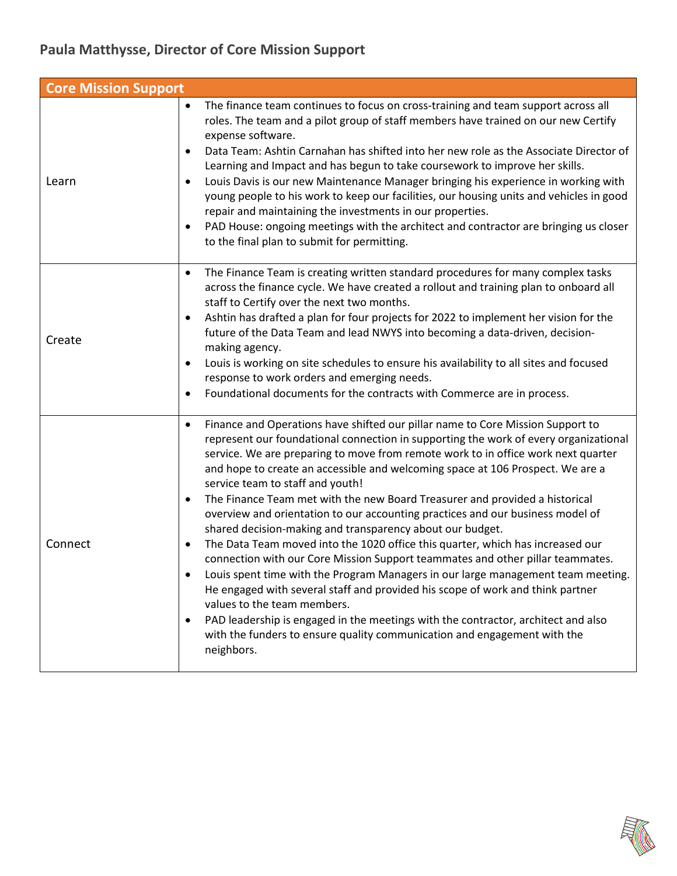## **Paula Matthysse, Director of Core Mission Support**

| <b>Core Mission Support</b> |                                                                                                                                                                                                                                                                                                                                                                                                                                                                                                                                                                                                                                                                                                                                                                                                                                                                                                                                                                                                                                                                                                                                                                                                                |
|-----------------------------|----------------------------------------------------------------------------------------------------------------------------------------------------------------------------------------------------------------------------------------------------------------------------------------------------------------------------------------------------------------------------------------------------------------------------------------------------------------------------------------------------------------------------------------------------------------------------------------------------------------------------------------------------------------------------------------------------------------------------------------------------------------------------------------------------------------------------------------------------------------------------------------------------------------------------------------------------------------------------------------------------------------------------------------------------------------------------------------------------------------------------------------------------------------------------------------------------------------|
| Learn                       | The finance team continues to focus on cross-training and team support across all<br>$\bullet$<br>roles. The team and a pilot group of staff members have trained on our new Certify<br>expense software.<br>Data Team: Ashtin Carnahan has shifted into her new role as the Associate Director of<br>Learning and Impact and has begun to take coursework to improve her skills.<br>Louis Davis is our new Maintenance Manager bringing his experience in working with<br>young people to his work to keep our facilities, our housing units and vehicles in good<br>repair and maintaining the investments in our properties.<br>PAD House: ongoing meetings with the architect and contractor are bringing us closer<br>to the final plan to submit for permitting.                                                                                                                                                                                                                                                                                                                                                                                                                                         |
| Create                      | The Finance Team is creating written standard procedures for many complex tasks<br>$\bullet$<br>across the finance cycle. We have created a rollout and training plan to onboard all<br>staff to Certify over the next two months.<br>Ashtin has drafted a plan for four projects for 2022 to implement her vision for the<br>future of the Data Team and lead NWYS into becoming a data-driven, decision-<br>making agency.<br>Louis is working on site schedules to ensure his availability to all sites and focused<br>response to work orders and emerging needs.<br>Foundational documents for the contracts with Commerce are in process.                                                                                                                                                                                                                                                                                                                                                                                                                                                                                                                                                                |
| Connect                     | Finance and Operations have shifted our pillar name to Core Mission Support to<br>$\bullet$<br>represent our foundational connection in supporting the work of every organizational<br>service. We are preparing to move from remote work to in office work next quarter<br>and hope to create an accessible and welcoming space at 106 Prospect. We are a<br>service team to staff and youth!<br>The Finance Team met with the new Board Treasurer and provided a historical<br>$\bullet$<br>overview and orientation to our accounting practices and our business model of<br>shared decision-making and transparency about our budget.<br>The Data Team moved into the 1020 office this quarter, which has increased our<br>$\bullet$<br>connection with our Core Mission Support teammates and other pillar teammates.<br>Louis spent time with the Program Managers in our large management team meeting.<br>He engaged with several staff and provided his scope of work and think partner<br>values to the team members.<br>PAD leadership is engaged in the meetings with the contractor, architect and also<br>with the funders to ensure quality communication and engagement with the<br>neighbors. |

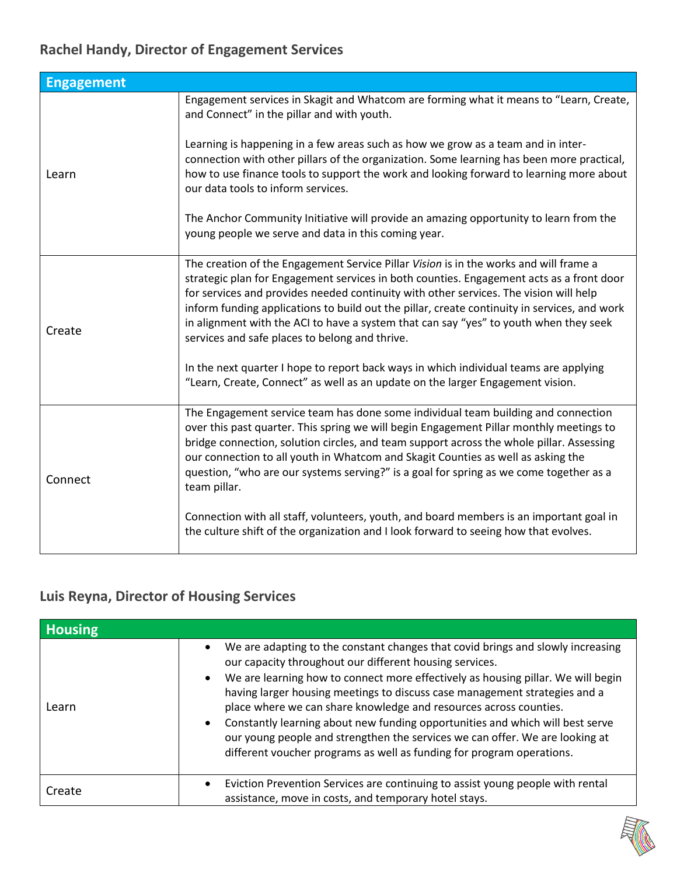## **Rachel Handy, Director of Engagement Services**

| <b>Engagement</b> |                                                                                                                                                                                                                                                                                                                                                                                                                                                                                                                                                                                                                                                                                                  |
|-------------------|--------------------------------------------------------------------------------------------------------------------------------------------------------------------------------------------------------------------------------------------------------------------------------------------------------------------------------------------------------------------------------------------------------------------------------------------------------------------------------------------------------------------------------------------------------------------------------------------------------------------------------------------------------------------------------------------------|
| Learn             | Engagement services in Skagit and Whatcom are forming what it means to "Learn, Create,<br>and Connect" in the pillar and with youth.                                                                                                                                                                                                                                                                                                                                                                                                                                                                                                                                                             |
|                   | Learning is happening in a few areas such as how we grow as a team and in inter-<br>connection with other pillars of the organization. Some learning has been more practical,<br>how to use finance tools to support the work and looking forward to learning more about<br>our data tools to inform services.                                                                                                                                                                                                                                                                                                                                                                                   |
|                   | The Anchor Community Initiative will provide an amazing opportunity to learn from the<br>young people we serve and data in this coming year.                                                                                                                                                                                                                                                                                                                                                                                                                                                                                                                                                     |
| Create            | The creation of the Engagement Service Pillar Vision is in the works and will frame a<br>strategic plan for Engagement services in both counties. Engagement acts as a front door<br>for services and provides needed continuity with other services. The vision will help<br>inform funding applications to build out the pillar, create continuity in services, and work<br>in alignment with the ACI to have a system that can say "yes" to youth when they seek<br>services and safe places to belong and thrive.<br>In the next quarter I hope to report back ways in which individual teams are applying<br>"Learn, Create, Connect" as well as an update on the larger Engagement vision. |
| Connect           | The Engagement service team has done some individual team building and connection<br>over this past quarter. This spring we will begin Engagement Pillar monthly meetings to<br>bridge connection, solution circles, and team support across the whole pillar. Assessing<br>our connection to all youth in Whatcom and Skagit Counties as well as asking the<br>question, "who are our systems serving?" is a goal for spring as we come together as a<br>team pillar.<br>Connection with all staff, volunteers, youth, and board members is an important goal in<br>the culture shift of the organization and I look forward to seeing how that evolves.                                        |

### **Luis Reyna, Director of Housing Services**

| <b>Housing</b> |                                                                                                                                                                                                                                                                                                                                                                                                                                                                                                                                                                                                                                                         |
|----------------|---------------------------------------------------------------------------------------------------------------------------------------------------------------------------------------------------------------------------------------------------------------------------------------------------------------------------------------------------------------------------------------------------------------------------------------------------------------------------------------------------------------------------------------------------------------------------------------------------------------------------------------------------------|
| Learn          | We are adapting to the constant changes that covid brings and slowly increasing<br>$\bullet$<br>our capacity throughout our different housing services.<br>• We are learning how to connect more effectively as housing pillar. We will begin<br>having larger housing meetings to discuss case management strategies and a<br>place where we can share knowledge and resources across counties.<br>Constantly learning about new funding opportunities and which will best serve<br>$\bullet$<br>our young people and strengthen the services we can offer. We are looking at<br>different voucher programs as well as funding for program operations. |
| Create         | Eviction Prevention Services are continuing to assist young people with rental<br>assistance, move in costs, and temporary hotel stays.                                                                                                                                                                                                                                                                                                                                                                                                                                                                                                                 |

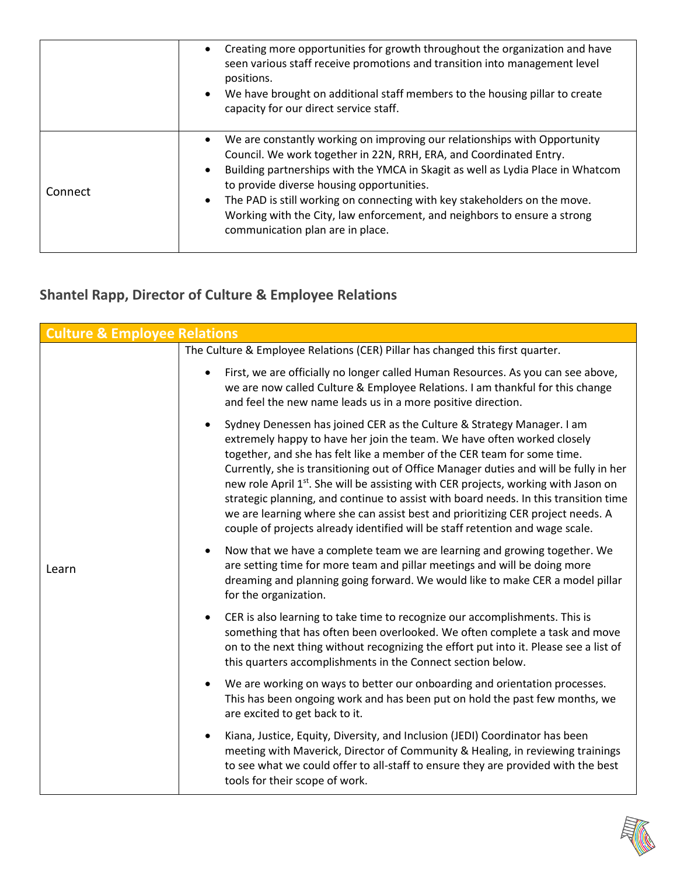|         | Creating more opportunities for growth throughout the organization and have<br>$\bullet$<br>seen various staff receive promotions and transition into management level<br>positions.<br>We have brought on additional staff members to the housing pillar to create<br>capacity for our direct service staff.                                                                                                                                                                                                       |
|---------|---------------------------------------------------------------------------------------------------------------------------------------------------------------------------------------------------------------------------------------------------------------------------------------------------------------------------------------------------------------------------------------------------------------------------------------------------------------------------------------------------------------------|
| Connect | We are constantly working on improving our relationships with Opportunity<br>$\bullet$<br>Council. We work together in 22N, RRH, ERA, and Coordinated Entry.<br>Building partnerships with the YMCA in Skagit as well as Lydia Place in Whatcom<br>$\bullet$<br>to provide diverse housing opportunities.<br>The PAD is still working on connecting with key stakeholders on the move.<br>$\bullet$<br>Working with the City, law enforcement, and neighbors to ensure a strong<br>communication plan are in place. |

# **Shantel Rapp, Director of Culture & Employee Relations**

| <b>Culture &amp; Employee Relations</b> |                                                                                                                                                                                                                                                                                                                                                                                                                                                                                                                                                                                                                                                                                      |
|-----------------------------------------|--------------------------------------------------------------------------------------------------------------------------------------------------------------------------------------------------------------------------------------------------------------------------------------------------------------------------------------------------------------------------------------------------------------------------------------------------------------------------------------------------------------------------------------------------------------------------------------------------------------------------------------------------------------------------------------|
|                                         | The Culture & Employee Relations (CER) Pillar has changed this first quarter.                                                                                                                                                                                                                                                                                                                                                                                                                                                                                                                                                                                                        |
| Learn                                   | First, we are officially no longer called Human Resources. As you can see above,<br>we are now called Culture & Employee Relations. I am thankful for this change<br>and feel the new name leads us in a more positive direction.                                                                                                                                                                                                                                                                                                                                                                                                                                                    |
|                                         | Sydney Denessen has joined CER as the Culture & Strategy Manager. I am<br>extremely happy to have her join the team. We have often worked closely<br>together, and she has felt like a member of the CER team for some time.<br>Currently, she is transitioning out of Office Manager duties and will be fully in her<br>new role April 1 <sup>st</sup> . She will be assisting with CER projects, working with Jason on<br>strategic planning, and continue to assist with board needs. In this transition time<br>we are learning where she can assist best and prioritizing CER project needs. A<br>couple of projects already identified will be staff retention and wage scale. |
|                                         | Now that we have a complete team we are learning and growing together. We<br>are setting time for more team and pillar meetings and will be doing more<br>dreaming and planning going forward. We would like to make CER a model pillar<br>for the organization.                                                                                                                                                                                                                                                                                                                                                                                                                     |
|                                         | CER is also learning to take time to recognize our accomplishments. This is<br>$\bullet$<br>something that has often been overlooked. We often complete a task and move<br>on to the next thing without recognizing the effort put into it. Please see a list of<br>this quarters accomplishments in the Connect section below.                                                                                                                                                                                                                                                                                                                                                      |
|                                         | We are working on ways to better our onboarding and orientation processes.<br>This has been ongoing work and has been put on hold the past few months, we<br>are excited to get back to it.                                                                                                                                                                                                                                                                                                                                                                                                                                                                                          |
|                                         | Kiana, Justice, Equity, Diversity, and Inclusion (JEDI) Coordinator has been<br>meeting with Maverick, Director of Community & Healing, in reviewing trainings<br>to see what we could offer to all-staff to ensure they are provided with the best<br>tools for their scope of work.                                                                                                                                                                                                                                                                                                                                                                                                |

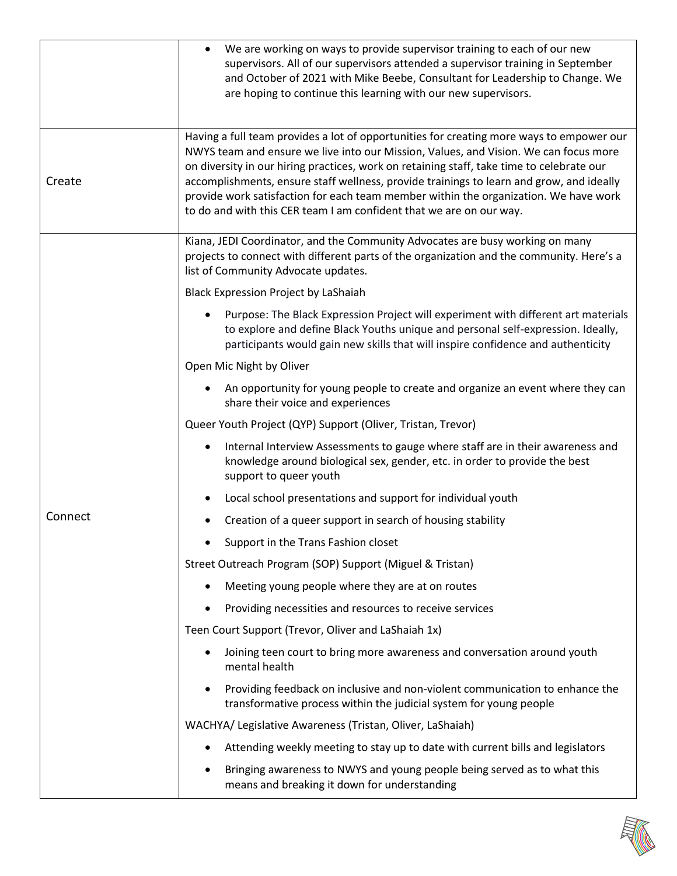|         | We are working on ways to provide supervisor training to each of our new<br>supervisors. All of our supervisors attended a supervisor training in September<br>and October of 2021 with Mike Beebe, Consultant for Leadership to Change. We<br>are hoping to continue this learning with our new supervisors.                                                                                                                                                                                                                            |
|---------|------------------------------------------------------------------------------------------------------------------------------------------------------------------------------------------------------------------------------------------------------------------------------------------------------------------------------------------------------------------------------------------------------------------------------------------------------------------------------------------------------------------------------------------|
| Create  | Having a full team provides a lot of opportunities for creating more ways to empower our<br>NWYS team and ensure we live into our Mission, Values, and Vision. We can focus more<br>on diversity in our hiring practices, work on retaining staff, take time to celebrate our<br>accomplishments, ensure staff wellness, provide trainings to learn and grow, and ideally<br>provide work satisfaction for each team member within the organization. We have work<br>to do and with this CER team I am confident that we are on our way. |
|         | Kiana, JEDI Coordinator, and the Community Advocates are busy working on many<br>projects to connect with different parts of the organization and the community. Here's a<br>list of Community Advocate updates.                                                                                                                                                                                                                                                                                                                         |
|         | <b>Black Expression Project by LaShaiah</b>                                                                                                                                                                                                                                                                                                                                                                                                                                                                                              |
|         | Purpose: The Black Expression Project will experiment with different art materials<br>to explore and define Black Youths unique and personal self-expression. Ideally,<br>participants would gain new skills that will inspire confidence and authenticity                                                                                                                                                                                                                                                                               |
|         | Open Mic Night by Oliver                                                                                                                                                                                                                                                                                                                                                                                                                                                                                                                 |
|         | An opportunity for young people to create and organize an event where they can<br>share their voice and experiences                                                                                                                                                                                                                                                                                                                                                                                                                      |
|         | Queer Youth Project (QYP) Support (Oliver, Tristan, Trevor)                                                                                                                                                                                                                                                                                                                                                                                                                                                                              |
|         | Internal Interview Assessments to gauge where staff are in their awareness and<br>٠<br>knowledge around biological sex, gender, etc. in order to provide the best<br>support to queer youth                                                                                                                                                                                                                                                                                                                                              |
|         | Local school presentations and support for individual youth                                                                                                                                                                                                                                                                                                                                                                                                                                                                              |
| Connect | Creation of a queer support in search of housing stability                                                                                                                                                                                                                                                                                                                                                                                                                                                                               |
|         | Support in the Trans Fashion closet                                                                                                                                                                                                                                                                                                                                                                                                                                                                                                      |
|         | Street Outreach Program (SOP) Support (Miguel & Tristan)                                                                                                                                                                                                                                                                                                                                                                                                                                                                                 |
|         | Meeting young people where they are at on routes                                                                                                                                                                                                                                                                                                                                                                                                                                                                                         |
|         | Providing necessities and resources to receive services                                                                                                                                                                                                                                                                                                                                                                                                                                                                                  |
|         | Teen Court Support (Trevor, Oliver and LaShaiah 1x)                                                                                                                                                                                                                                                                                                                                                                                                                                                                                      |
|         | Joining teen court to bring more awareness and conversation around youth<br>mental health                                                                                                                                                                                                                                                                                                                                                                                                                                                |
|         | Providing feedback on inclusive and non-violent communication to enhance the<br>transformative process within the judicial system for young people                                                                                                                                                                                                                                                                                                                                                                                       |
|         | WACHYA/ Legislative Awareness (Tristan, Oliver, LaShaiah)                                                                                                                                                                                                                                                                                                                                                                                                                                                                                |
|         | Attending weekly meeting to stay up to date with current bills and legislators                                                                                                                                                                                                                                                                                                                                                                                                                                                           |
|         | Bringing awareness to NWYS and young people being served as to what this<br>means and breaking it down for understanding                                                                                                                                                                                                                                                                                                                                                                                                                 |